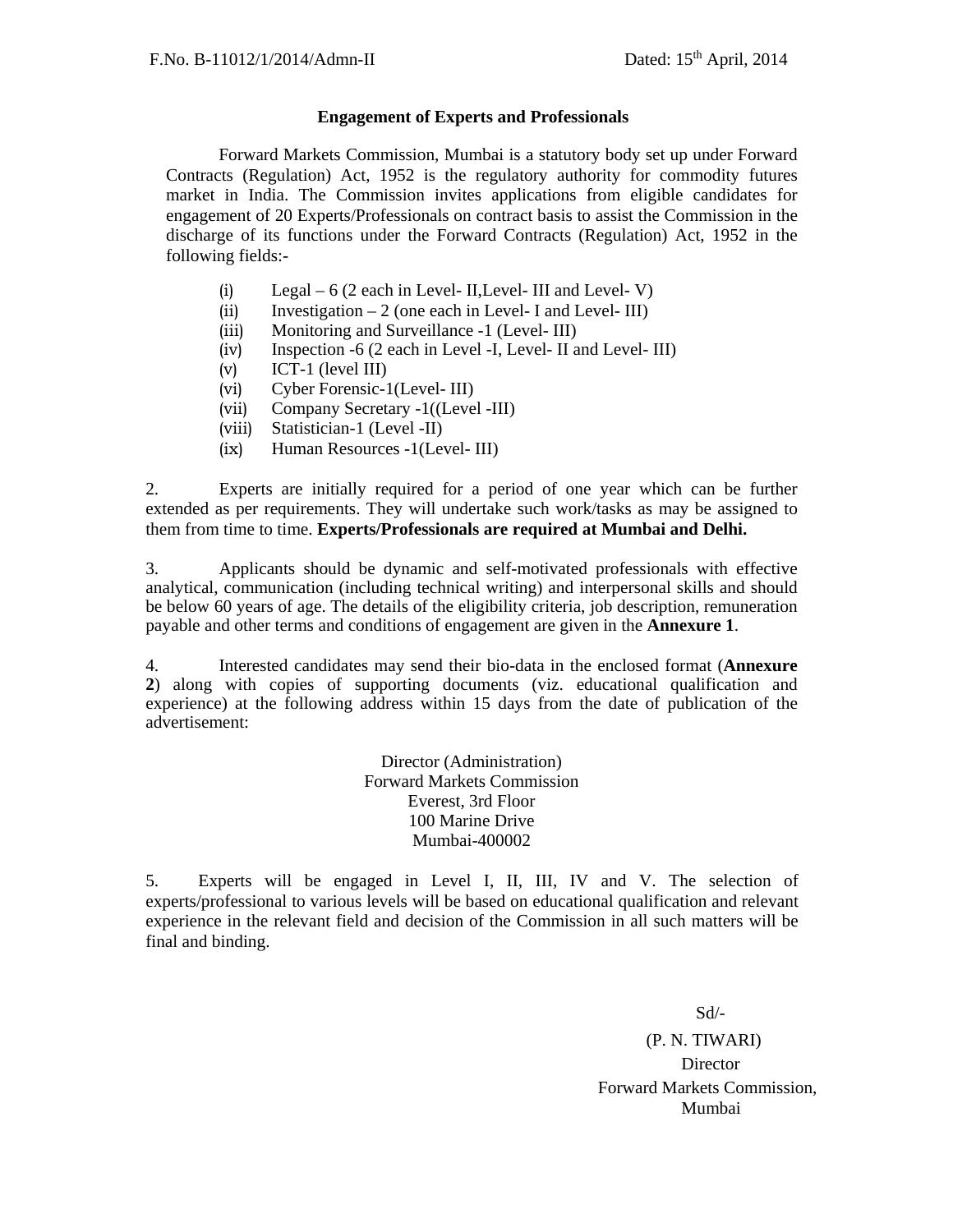#### **Engagement of Experts and Professionals**

Forward Markets Commission, Mumbai is a statutory body set up under Forward Contracts (Regulation) Act, 1952 is the regulatory authority for commodity futures market in India. The Commission invites applications from eligible candidates for engagement of 20 Experts/Professionals on contract basis to assist the Commission in the discharge of its functions under the Forward Contracts (Regulation) Act, 1952 in the following fields:-

- (i) Legal  $6(2 \text{ each in Level- II}, \text{Level- III}, \text{ and Level- V})$
- (ii) Investigation  $-2$  (one each in Level- I and Level- III)
- (iii) Monitoring and Surveillance -1 (Level- III)
- (iv) Inspection -6 (2 each in Level -I, Level- II and Level- III)
- (v) ICT-1 (level III)
- (vi) Cyber Forensic-1(Level- III)
- (vii) Company Secretary -1((Level -III)
- (viii) Statistician-1 (Level -II)
- (ix) Human Resources -1(Level- III)

2. Experts are initially required for a period of one year which can be further extended as per requirements. They will undertake such work/tasks as may be assigned to them from time to time. **Experts/Professionals are required at Mumbai and Delhi.** 

3. Applicants should be dynamic and self-motivated professionals with effective analytical, communication (including technical writing) and interpersonal skills and should be below 60 years of age. The details of the eligibility criteria, job description, remuneration payable and other terms and conditions of engagement are given in the **Annexure 1**.

4. Interested candidates may send their bio-data in the enclosed format (**Annexure 2**) along with copies of supporting documents (viz. educational qualification and experience) at the following address within 15 days from the date of publication of the advertisement:

> Director (Administration) Forward Markets Commission Everest, 3rd Floor 100 Marine Drive Mumbai-400002

5. Experts will be engaged in Level I, II, III, IV and V. The selection of experts/professional to various levels will be based on educational qualification and relevant experience in the relevant field and decision of the Commission in all such matters will be final and binding.

Sd/-

(P. N. TIWARI) **Director**  Forward Markets Commission, Mumbai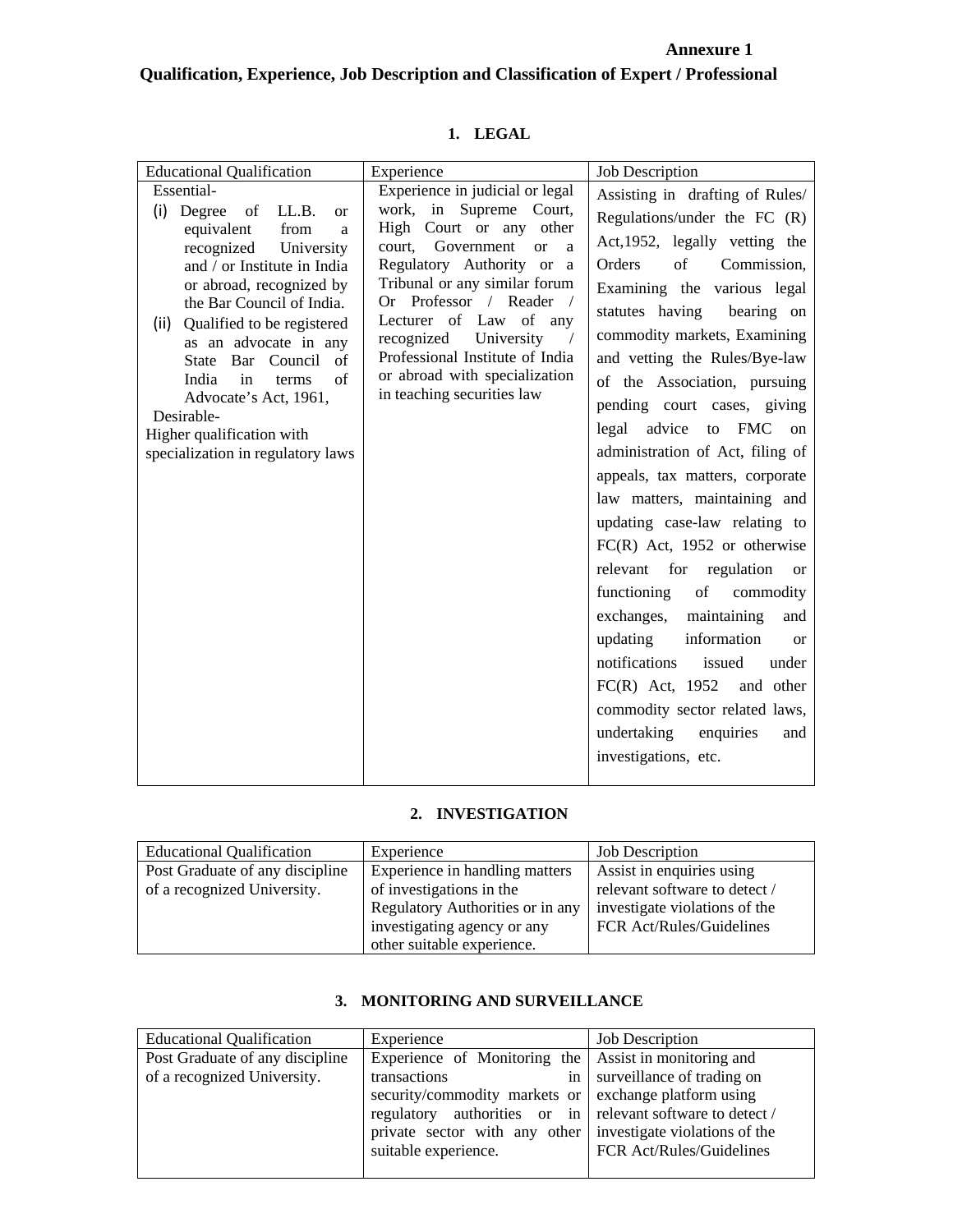## **Annexure 1 Qualification, Experience, Job Description and Classification of Expert / Professional**

| <b>Educational Qualification</b>                         | Experience                                                       | <b>Job Description</b>                   |
|----------------------------------------------------------|------------------------------------------------------------------|------------------------------------------|
| Essential-                                               | Experience in judicial or legal                                  |                                          |
| (i) Degree of LL.B.<br><sub>or</sub>                     | work, in Supreme Court,                                          | Assisting in drafting of Rules/          |
| equivalent<br>from<br>a                                  | High Court or any other                                          | Regulations/under the $FC (R)$           |
| recognized<br>University                                 | Government<br>court,<br><sub>or</sub><br>a                       | Act, 1952, legally vetting the           |
| and / or Institute in India                              | Regulatory Authority or a                                        | Orders<br>of<br>Commission,              |
| or abroad, recognized by                                 | Tribunal or any similar forum                                    | Examining the various legal              |
| the Bar Council of India.                                | Or Professor / Reader<br>$\frac{1}{2}$<br>Lecturer of Law of any | statutes having bearing on               |
| (ii) Qualified to be registered<br>as an advocate in any | recognized University<br>$\sqrt{2}$                              | commodity markets, Examining             |
| State Bar Council<br>of                                  | Professional Institute of India                                  | and vetting the Rules/Bye-law            |
| India<br>in<br>of<br>terms                               | or abroad with specialization                                    | of the Association, pursuing             |
| Advocate's Act, 1961,                                    | in teaching securities law                                       | pending court cases, giving              |
| Desirable-<br>Higher qualification with                  |                                                                  | legal advice to FMC<br>on                |
| specialization in regulatory laws                        |                                                                  | administration of Act, filing of         |
|                                                          |                                                                  | appeals, tax matters, corporate          |
|                                                          |                                                                  | law matters, maintaining and             |
|                                                          |                                                                  | updating case-law relating to            |
|                                                          |                                                                  | $FC(R)$ Act, 1952 or otherwise           |
|                                                          |                                                                  | relevant for regulation<br><sub>or</sub> |
|                                                          |                                                                  | functioning<br>of<br>commodity           |
|                                                          |                                                                  | exchanges, maintaining                   |
|                                                          |                                                                  | and                                      |
|                                                          |                                                                  | information<br>updating<br><b>or</b>     |
|                                                          |                                                                  | notifications<br>issued<br>under         |
|                                                          |                                                                  | $FC(R)$ Act, 1952 and other              |
|                                                          |                                                                  | commodity sector related laws,           |
|                                                          |                                                                  | undertaking enquiries<br>and             |
|                                                          |                                                                  | investigations, etc.                     |
|                                                          |                                                                  |                                          |

## **1. LEGAL**

## **2. INVESTIGATION**

| <b>Educational Qualification</b> | Experience                       | <b>Job Description</b>        |  |
|----------------------------------|----------------------------------|-------------------------------|--|
| Post Graduate of any discipline  | Experience in handling matters   | Assist in enquiries using     |  |
| of a recognized University.      | of investigations in the         | relevant software to detect / |  |
|                                  | Regulatory Authorities or in any | investigate violations of the |  |
|                                  | investigating agency or any      | FCR Act/Rules/Guidelines      |  |
|                                  | other suitable experience.       |                               |  |

## **3. MONITORING AND SURVEILLANCE**

| <b>Educational Qualification</b> | Experience                                                  | <b>Job Description</b>     |  |
|----------------------------------|-------------------------------------------------------------|----------------------------|--|
| Post Graduate of any discipline  | Experience of Monitoring the Assist in monitoring and       |                            |  |
| of a recognized University.      | transactions<br>in                                          | surveillance of trading on |  |
|                                  | security/commodity markets or                               | exchange platform using    |  |
|                                  | regulatory authorities or in relevant software to detect /  |                            |  |
|                                  | private sector with any other investigate violations of the |                            |  |
|                                  | suitable experience.                                        | FCR Act/Rules/Guidelines   |  |
|                                  |                                                             |                            |  |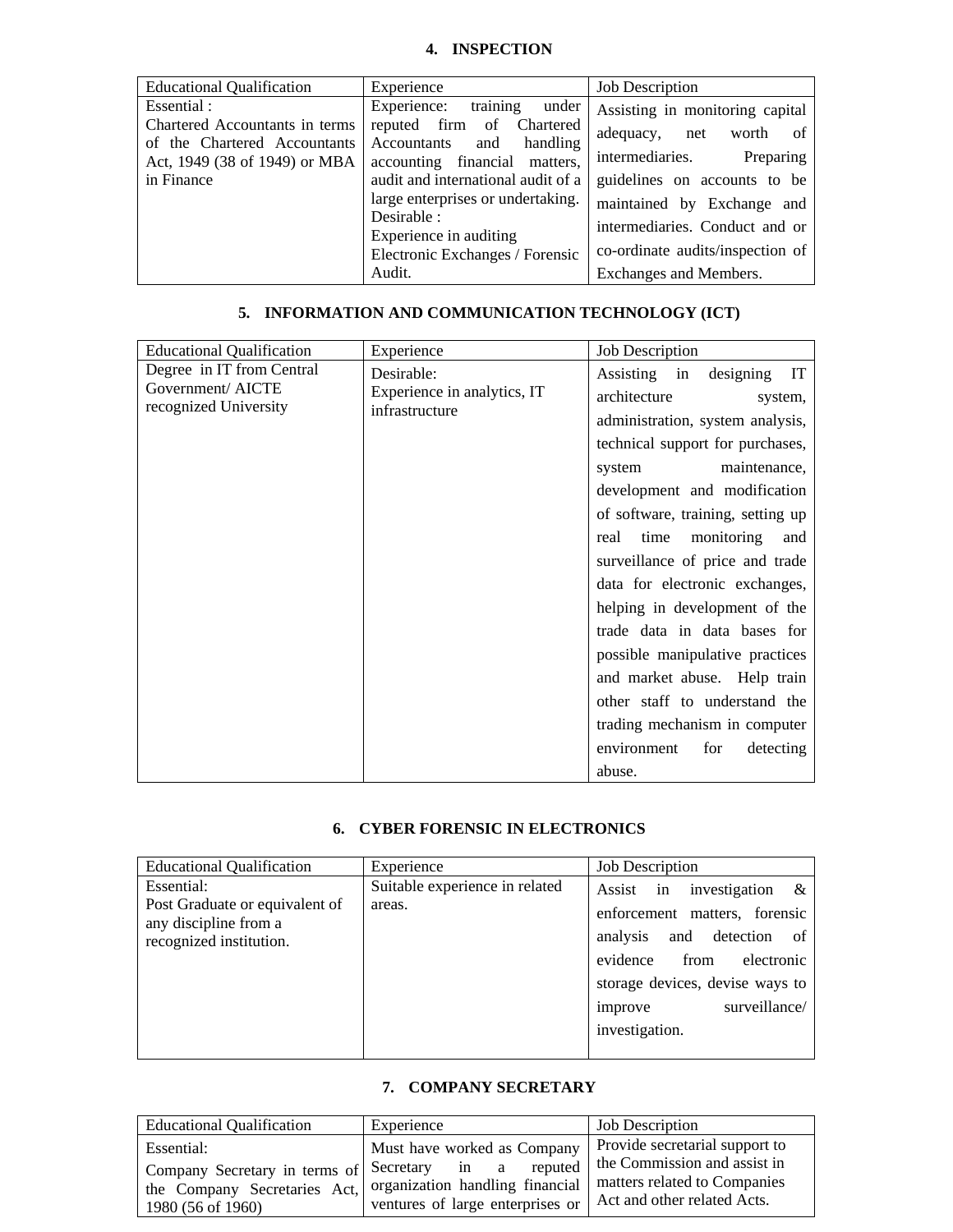#### **4. INSPECTION**

| <b>Educational Qualification</b> | Experience                                                         | <b>Job Description</b>            |  |
|----------------------------------|--------------------------------------------------------------------|-----------------------------------|--|
|                                  |                                                                    |                                   |  |
| Essential :                      | training<br>Experience:<br>under                                   | Assisting in monitoring capital   |  |
| Chartered Accountants in terms   | reputed firm of Chartered                                          |                                   |  |
| of the Chartered Accountants     | Accountants<br>handling<br>and                                     | adequacy,<br>- of<br>worth<br>net |  |
|                                  |                                                                    | intermediaries.                   |  |
| Act, 1949 (38 of 1949) or MBA    | accounting financial matters,                                      | Preparing                         |  |
| in Finance                       | audit and international audit of a<br>guidelines on accounts to be |                                   |  |
|                                  | large enterprises or undertaking.                                  | maintained by Exchange and        |  |
|                                  | Desirable :                                                        | intermediaries. Conduct and or    |  |
|                                  | Experience in auditing                                             |                                   |  |
|                                  | Electronic Exchanges / Forensic                                    | co-ordinate audits/inspection of  |  |
|                                  | Audit.                                                             | Exchanges and Members.            |  |

#### **5. INFORMATION AND COMMUNICATION TECHNOLOGY (ICT)**

| <b>Educational Qualification</b>                                       | Experience                                                  | <b>Job Description</b>                                                                                                                                                                                                                                                                                                                                                                                                                                                                                                                                                                              |
|------------------------------------------------------------------------|-------------------------------------------------------------|-----------------------------------------------------------------------------------------------------------------------------------------------------------------------------------------------------------------------------------------------------------------------------------------------------------------------------------------------------------------------------------------------------------------------------------------------------------------------------------------------------------------------------------------------------------------------------------------------------|
| Degree in IT from Central<br>Government/AICTE<br>recognized University | Desirable:<br>Experience in analytics, IT<br>infrastructure | designing<br>$\mathbf{I} \mathbf{T}$<br>Assisting in<br>architecture<br>system,<br>administration, system analysis,<br>technical support for purchases,<br>maintenance,<br>system<br>development and modification<br>of software, training, setting up<br>real time monitoring<br>and<br>surveillance of price and trade<br>data for electronic exchanges,<br>helping in development of the<br>trade data in data bases for<br>possible manipulative practices<br>and market abuse. Help train<br>other staff to understand the<br>trading mechanism in computer<br>environment<br>for<br>detecting |
|                                                                        |                                                             | abuse.                                                                                                                                                                                                                                                                                                                                                                                                                                                                                                                                                                                              |

#### **6. CYBER FORENSIC IN ELECTRONICS**

| <b>Educational Qualification</b>                                                                 | Experience                               | <b>Job Description</b>                                                                                                                                                                                                 |
|--------------------------------------------------------------------------------------------------|------------------------------------------|------------------------------------------------------------------------------------------------------------------------------------------------------------------------------------------------------------------------|
| Essential:<br>Post Graduate or equivalent of<br>any discipline from a<br>recognized institution. | Suitable experience in related<br>areas. | investigation<br>Assist in<br>$\&$<br>enforcement matters, forensic<br>and detection of<br>analysis<br>electronic<br>evidence<br>from<br>storage devices, devise ways to<br>surveillance/<br>improve<br>investigation. |
|                                                                                                  |                                          |                                                                                                                                                                                                                        |

#### **7. COMPANY SECRETARY**

| <b>Educational Qualification</b>                                                                                                                | Experience                                                                 | <b>Job Description</b>                                                                                                        |
|-------------------------------------------------------------------------------------------------------------------------------------------------|----------------------------------------------------------------------------|-------------------------------------------------------------------------------------------------------------------------------|
| Essential:<br>Company Secretary in terms of Secretary in a<br>the Company Secretaries Act, organization handling financial<br>1980 (56 of 1960) | Must have worked as Company<br>reputed<br>ventures of large enterprises or | Provide secretarial support to<br>the Commission and assist in<br>matters related to Companies<br>Act and other related Acts. |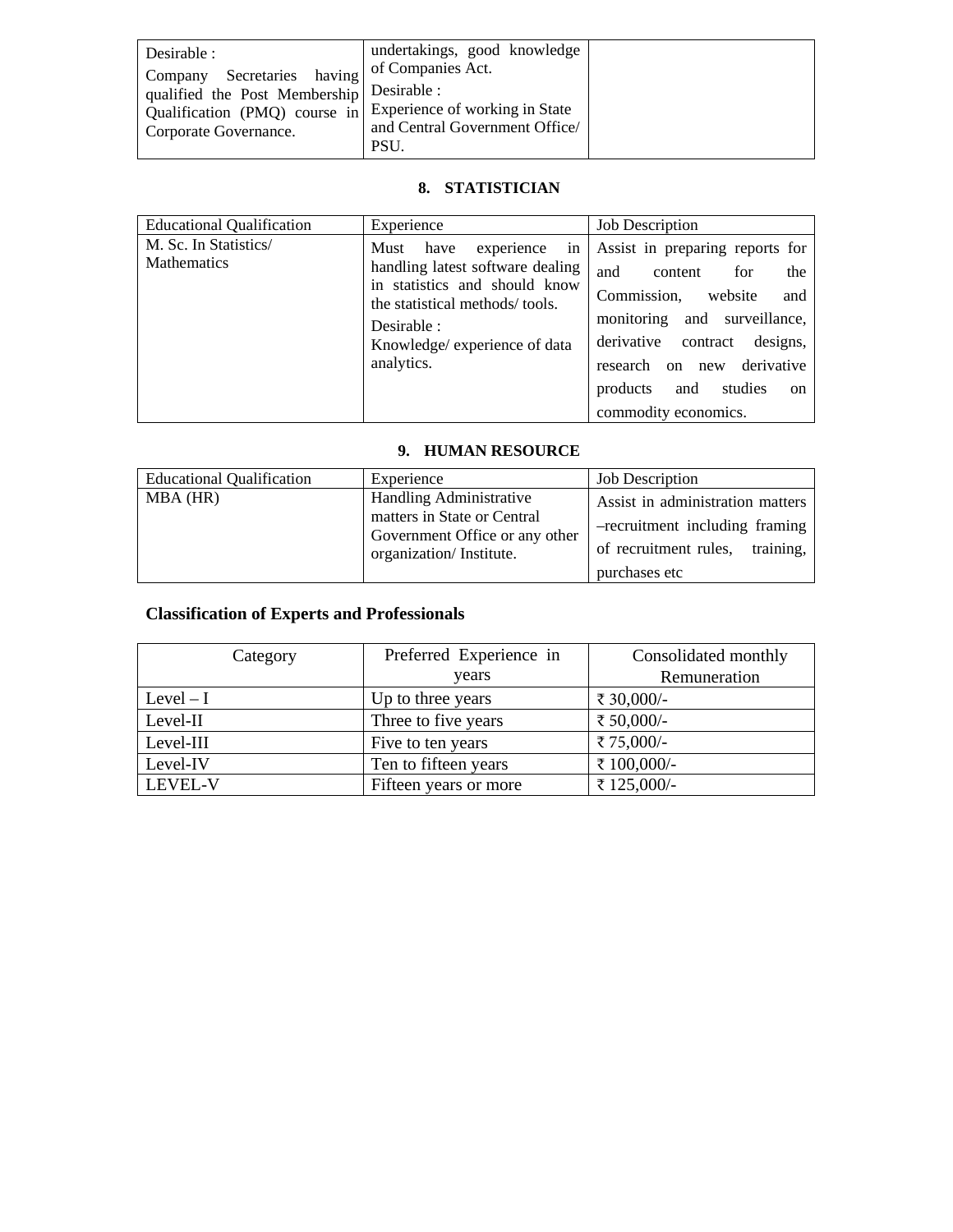| Desirable :<br>Secretaries having<br>Company                                                                                      | undertakings, good knowledge<br>of Companies Act. |  |
|-----------------------------------------------------------------------------------------------------------------------------------|---------------------------------------------------|--|
| qualified the Post Membership Desirable:<br>Qualification (PMQ) course in Experience of working in State<br>Corporate Governance. | and Central Government Office/<br><b>PSU</b>      |  |

## **8. STATISTICIAN**

| <b>Educational Qualification</b>            | Experience                                                                                                                                                                                            | <b>Job Description</b>                                                                                                                                                                                                                                                 |
|---------------------------------------------|-------------------------------------------------------------------------------------------------------------------------------------------------------------------------------------------------------|------------------------------------------------------------------------------------------------------------------------------------------------------------------------------------------------------------------------------------------------------------------------|
| M. Sc. In Statistics/<br><b>Mathematics</b> | in<br>Must<br>have<br>experience<br>handling latest software dealing<br>in statistics and should know<br>the statistical methods/tools.<br>Desirable :<br>Knowledge/ experience of data<br>analytics. | Assist in preparing reports for<br>the<br>and<br>for<br>content<br>Commission,<br>website<br>and<br>and surveillance,<br>monitoring<br>derivative<br>designs,<br>contract<br>derivative<br>research on new<br>products<br>and<br>studies<br>on<br>commodity economics. |

## **9. HUMAN RESOURCE**

| <b>Educational Qualification</b> | Experience                                                                                                                 | <b>Job Description</b>                                                                                                    |
|----------------------------------|----------------------------------------------------------------------------------------------------------------------------|---------------------------------------------------------------------------------------------------------------------------|
| MBA (HR)                         | <b>Handling Administrative</b><br>matters in State or Central<br>Government Office or any other<br>organization/Institute. | Assist in administration matters<br>-recruitment including framing<br>of recruitment rules,<br>training.<br>purchases etc |

# **Classification of Experts and Professionals**

| Category                                       | Preferred Experience in | Consolidated monthly |  |
|------------------------------------------------|-------------------------|----------------------|--|
|                                                | years                   | Remuneration         |  |
| $Level - I$<br>₹ 30,000/-<br>Up to three years |                         |                      |  |
| Three to five years<br>Level-II                |                         | ₹ 50,000/-           |  |
| Level-III                                      | Five to ten years       | ₹75,000/-            |  |
| Level-IV                                       | Ten to fifteen years    | ₹ 100,000/-          |  |
| LEVEL-V                                        | Fifteen years or more   | ₹125,000/-           |  |